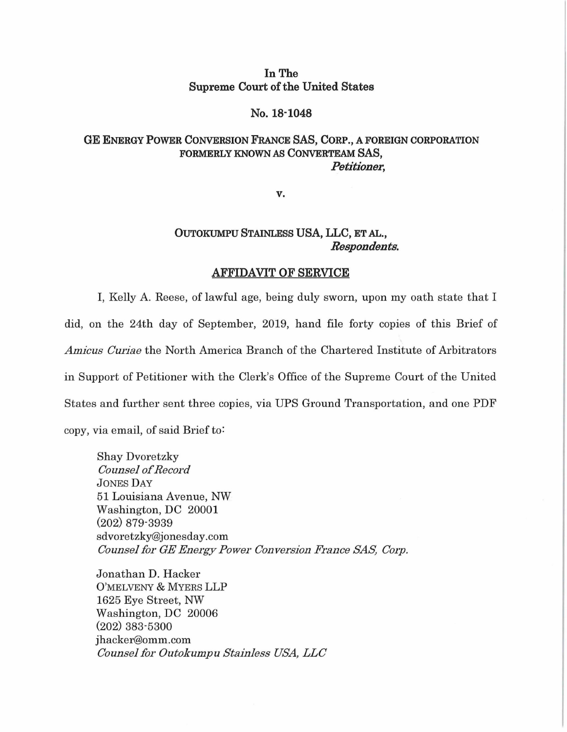# **In The Supreme Court of the United States**

### **No. 18·1048**

## **GE ENERGY POWER CONVERSION FRANCE SAS, CORP., A FOREIGN CORPORATION FORMERLY KNOWN AS CONVERTEAM SAS,**  *Petitioner,*

**v.** 

# **OUTOKUMPU STAINLESS USA, LLC, ET** AL., *Respondents.*

#### **AFFIDAVIT OF SERVICE**

I, Kelly A. Reese, of lawful age, being duly sworn, upon my oath state that I did, on the 24th day of September, 2019, hand file forty copies of this Brief of *Amicus Cw·iae* the North America Branch of the Chartered Institute of Arbitrators in Support of Petitioner with the Clerk's Office of the Supreme Court of the United States and further sent three copies, via UPS Ground Transportation, and one PDF copy, via email, of said Brief to:

Shay Dvoretzky *Counsel of Rec01·d*  JONES DAY 51 Louisiana Avenue, NW Washington, DC 20001 (202) 879-3939 sdvoretzky@jonesday.com *Counsel for GE Energy Power Conversion France SAS, Corp.* 

Jonathan D. Hacker O'MELVENY & MYERS LLP 1625 Eye Street, NW Washington, DC 20006 (202) 383-5300 jhacker@omm.com *Counsel fol' Outokumpu Stainless USA, LLC*